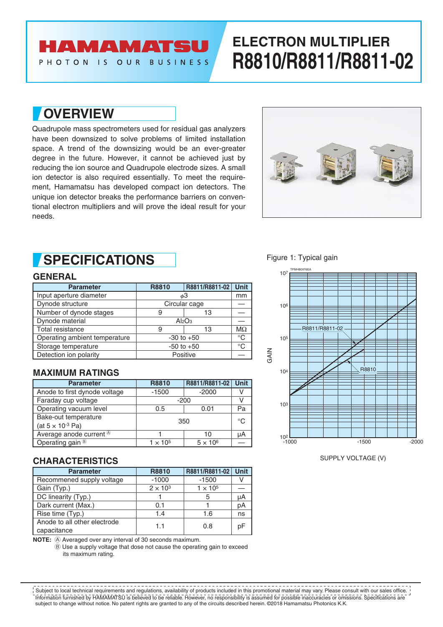## **AMAMATSU**

PHOTON IS OUR BUSINESS

# **ELECTRON MULTIPLIER R8810/R8811/R8811-02**

**OVERVIEW**

Quadrupole mass spectrometers used for residual gas analyzers have been downsized to solve problems of limited installation space. A trend of the downsizing would be an ever-greater degree in the future. However, it cannot be achieved just by reducing the ion source and Quadrupole electrode sizes. A small ion detector is also required essentially. To meet the requirement, Hamamatsu has developed compact ion detectors. The unique ion detector breaks the performance barriers on conventional electron multipliers and will prove the ideal result for your needs.



### **SPECIFICATIONS**

#### **GENERAL**

| <b>Parameter</b>              | R8810                          | R8811/R8811-02 | <b>Unit</b> |
|-------------------------------|--------------------------------|----------------|-------------|
| Input aperture diameter       | φЗ                             |                | mm          |
| Dynode structure              | Circular cage                  |                |             |
| Number of dynode stages       | 9                              | 13             |             |
| Dynode material               | Al <sub>2</sub> O <sub>3</sub> |                |             |
| Total resistance              | 9                              | 13             | $M\Omega$   |
| Operating ambient temperature | $-30$ to $+50$                 |                | °C          |
| Storage temperature           | $-50$ to $+50$                 |                | °€          |
| Detection ion polarity        | Positive                       |                |             |

#### **MAXIMUM RATINGS**

| <b>Parameter</b>              | R8810           | R8811/R8811-02  | <b>Unit</b> |
|-------------------------------|-----------------|-----------------|-------------|
| Anode to first dynode voltage | $-1500$         | $-2000$         |             |
| Faraday cup voltage           | $-200$          |                 |             |
| Operating vacuum level        | 0.5             | 0.01            | Pa          |
| Bake-out temperature          | 350             |                 | °€          |
| (at $5 \times 10^{-3}$ Pa)    |                 |                 |             |
| Average anode current ®       |                 | 10              | μA          |
| Operating gain ®              | $1 \times 10^5$ | $5 \times 10^6$ |             |

#### **CHARACTERISTICS**

| <b>Parameter</b>                            | R8810           | R8811/R8811-02  | <b>Unit</b> |
|---------------------------------------------|-----------------|-----------------|-------------|
| Recommened supply voltage                   | $-1000$         | $-1500$         |             |
| Gain (Typ.)                                 | $2 \times 10^3$ | $1 \times 10^5$ |             |
| DC linearity (Typ.)                         |                 | 5               | μA          |
| Dark current (Max.)                         | 0.1             |                 | рA          |
| Rise time (Typ.)                            | 1.4             | 1.6             | ns          |
| Anode to all other electrode<br>capacitance | 1.1             | 0.8             | рF          |

NOTE:  $\textcircled{A}$  Averaged over any interval of 30 seconds maximum.

B Use a supply voltage that dose not cause the operating gain to exceed its maximum rating.

Figure 1: Typical gain



SUPPLY VOLTAGE (V)

Information furnished by HAMAMATSU is believed to be reliable. However, no responsibility is assumed for possible inaccuracies or omissions. Specifications are subject to change without notice. No patent rights are granted to any of the circuits described herein. ©2018 Hamamatsu Photonics K.K. Subject to local technical requirements and regulations, availability of products included in this promotional material may vary. Please consult with our sales office.